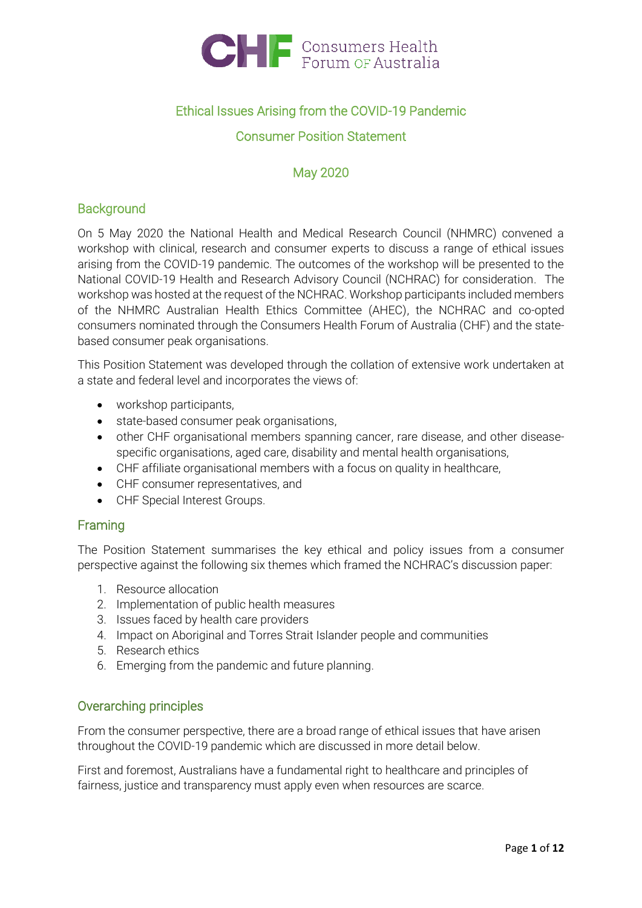

## Ethical Issues Arising from the COVID-19 Pandemic

## Consumer Position Statement

## May 2020

## **Background**

On 5 May 2020 the National Health and Medical Research Council (NHMRC) convened a workshop with clinical, research and consumer experts to discuss a range of ethical issues arising from the COVID-19 pandemic. The outcomes of the workshop will be presented to the National COVID-19 Health and Research Advisory Council (NCHRAC) for consideration. The workshop was hosted at the request of the NCHRAC. Workshop participants included members of the NHMRC Australian Health Ethics Committee (AHEC), the NCHRAC and co-opted consumers nominated through the Consumers Health Forum of Australia (CHF) and the statebased consumer peak organisations.

This Position Statement was developed through the collation of extensive work undertaken at a state and federal level and incorporates the views of:

- workshop participants,
- state-based consumer peak organisations,
- other CHF organisational members spanning cancer, rare disease, and other diseasespecific organisations, aged care, disability and mental health organisations,
- CHF affiliate organisational members with a focus on quality in healthcare,
- CHF consumer representatives, and
- CHF Special Interest Groups.

## Framing

The Position Statement summarises the key ethical and policy issues from a consumer perspective against the following six themes which framed the NCHRAC's discussion paper:

- 1. Resource allocation
- 2. Implementation of public health measures
- 3. Issues faced by health care providers
- 4. Impact on Aboriginal and Torres Strait Islander people and communities
- 5. Research ethics
- 6. Emerging from the pandemic and future planning.

## Overarching principles

From the consumer perspective, there are a broad range of ethical issues that have arisen throughout the COVID-19 pandemic which are discussed in more detail below.

First and foremost, Australians have a fundamental right to healthcare and principles of fairness, justice and transparency must apply even when resources are scarce.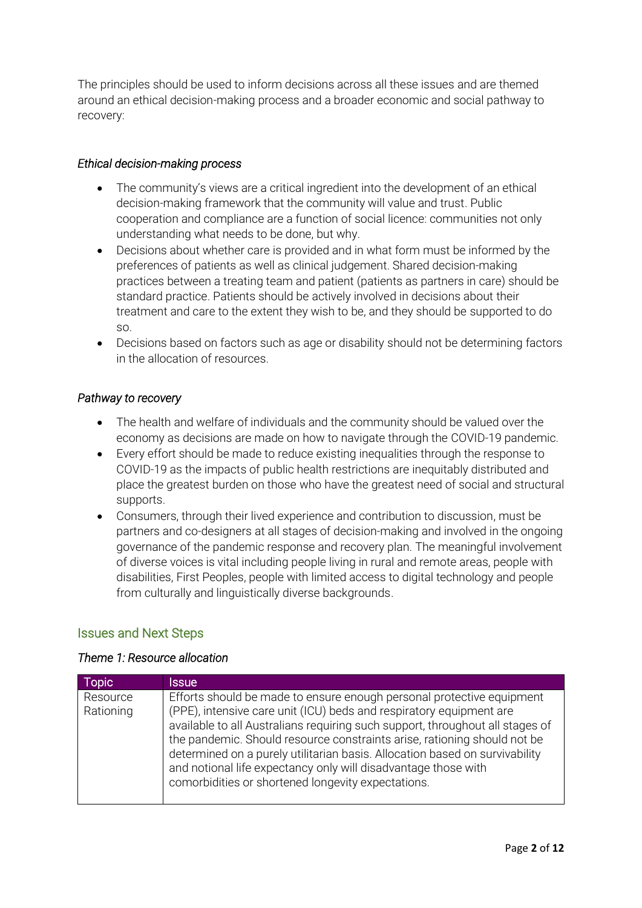The principles should be used to inform decisions across all these issues and are themed around an ethical decision-making process and a broader economic and social pathway to recovery:

### *Ethical decision-making process*

- The community's views are a critical ingredient into the development of an ethical decision-making framework that the community will value and trust. Public cooperation and compliance are a function of social licence: communities not only understanding what needs to be done, but why.
- Decisions about whether care is provided and in what form must be informed by the preferences of patients as well as clinical judgement. Shared decision-making practices between a treating team and patient (patients as partners in care) should be standard practice. Patients should be actively involved in decisions about their treatment and care to the extent they wish to be, and they should be supported to do so.
- Decisions based on factors such as age or disability should not be determining factors in the allocation of resources.

## *Pathway to recovery*

- The health and welfare of individuals and the community should be valued over the economy as decisions are made on how to navigate through the COVID-19 pandemic.
- Every effort should be made to reduce existing inequalities through the response to COVID-19 as the impacts of public health restrictions are inequitably distributed and place the greatest burden on those who have the greatest need of social and structural supports.
- Consumers, through their lived experience and contribution to discussion, must be partners and co-designers at all stages of decision-making and involved in the ongoing governance of the pandemic response and recovery plan. The meaningful involvement of diverse voices is vital including people living in rural and remote areas, people with disabilities, First Peoples, people with limited access to digital technology and people from culturally and linguistically diverse backgrounds.

## Issues and Next Steps

#### *Theme 1: Resource allocation*

| Topic                 | <b>Issue</b>                                                                                                                                                                                                                                                                                                                                                                                                                                                                                                     |
|-----------------------|------------------------------------------------------------------------------------------------------------------------------------------------------------------------------------------------------------------------------------------------------------------------------------------------------------------------------------------------------------------------------------------------------------------------------------------------------------------------------------------------------------------|
| Resource<br>Rationing | Efforts should be made to ensure enough personal protective equipment<br>(PPE), intensive care unit (ICU) beds and respiratory equipment are<br>available to all Australians requiring such support, throughout all stages of<br>the pandemic. Should resource constraints arise, rationing should not be<br>determined on a purely utilitarian basis. Allocation based on survivability<br>and notional life expectancy only will disadvantage those with<br>comorbidities or shortened longevity expectations. |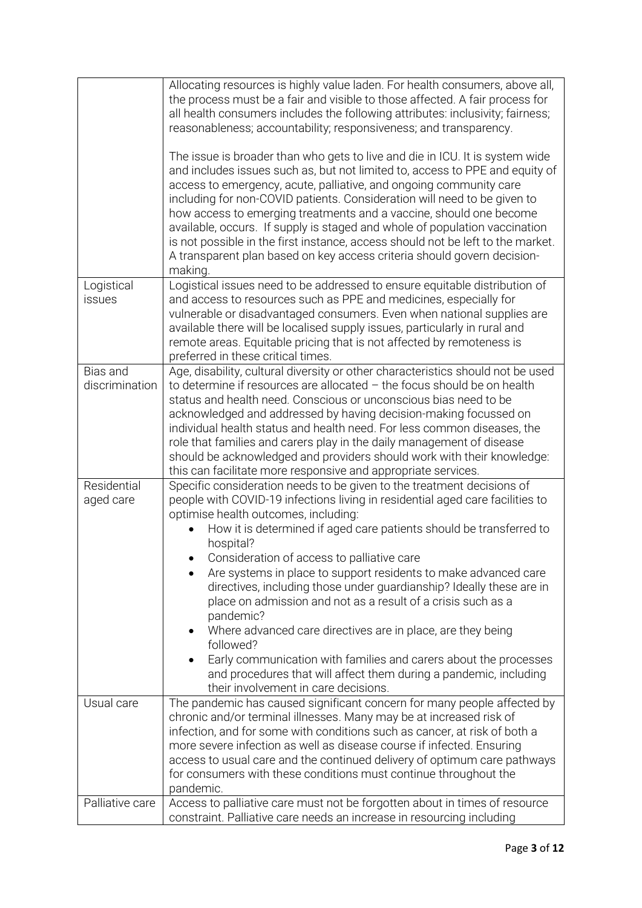|                            | Allocating resources is highly value laden. For health consumers, above all,<br>the process must be a fair and visible to those affected. A fair process for<br>all health consumers includes the following attributes: inclusivity; fairness;<br>reasonableness; accountability; responsiveness; and transparency.                                                                                                                                                                                                                                                                                                                                                                                                                                                                                                      |
|----------------------------|--------------------------------------------------------------------------------------------------------------------------------------------------------------------------------------------------------------------------------------------------------------------------------------------------------------------------------------------------------------------------------------------------------------------------------------------------------------------------------------------------------------------------------------------------------------------------------------------------------------------------------------------------------------------------------------------------------------------------------------------------------------------------------------------------------------------------|
|                            | The issue is broader than who gets to live and die in ICU. It is system wide<br>and includes issues such as, but not limited to, access to PPE and equity of<br>access to emergency, acute, palliative, and ongoing community care<br>including for non-COVID patients. Consideration will need to be given to<br>how access to emerging treatments and a vaccine, should one become<br>available, occurs. If supply is staged and whole of population vaccination<br>is not possible in the first instance, access should not be left to the market.<br>A transparent plan based on key access criteria should govern decision-<br>making.                                                                                                                                                                              |
| Logistical<br>issues       | Logistical issues need to be addressed to ensure equitable distribution of<br>and access to resources such as PPE and medicines, especially for<br>vulnerable or disadvantaged consumers. Even when national supplies are<br>available there will be localised supply issues, particularly in rural and<br>remote areas. Equitable pricing that is not affected by remoteness is<br>preferred in these critical times.                                                                                                                                                                                                                                                                                                                                                                                                   |
| Bias and<br>discrimination | Age, disability, cultural diversity or other characteristics should not be used<br>to determine if resources are allocated $-$ the focus should be on health<br>status and health need. Conscious or unconscious bias need to be<br>acknowledged and addressed by having decision-making focussed on<br>individual health status and health need. For less common diseases, the<br>role that families and carers play in the daily management of disease<br>should be acknowledged and providers should work with their knowledge:<br>this can facilitate more responsive and appropriate services.                                                                                                                                                                                                                      |
| Residential<br>aged care   | Specific consideration needs to be given to the treatment decisions of<br>people with COVID-19 infections living in residential aged care facilities to<br>optimise health outcomes, including:<br>How it is determined if aged care patients should be transferred to<br>hospital?<br>• Consideration of access to palliative care<br>Are systems in place to support residents to make advanced care<br>directives, including those under guardianship? Ideally these are in<br>place on admission and not as a result of a crisis such as a<br>pandemic?<br>Where advanced care directives are in place, are they being<br>followed?<br>Early communication with families and carers about the processes<br>and procedures that will affect them during a pandemic, including<br>their involvement in care decisions. |
| Usual care                 | The pandemic has caused significant concern for many people affected by<br>chronic and/or terminal illnesses. Many may be at increased risk of<br>infection, and for some with conditions such as cancer, at risk of both a<br>more severe infection as well as disease course if infected. Ensuring<br>access to usual care and the continued delivery of optimum care pathways<br>for consumers with these conditions must continue throughout the<br>pandemic.                                                                                                                                                                                                                                                                                                                                                        |
| Palliative care            | Access to palliative care must not be forgotten about in times of resource<br>constraint. Palliative care needs an increase in resourcing including                                                                                                                                                                                                                                                                                                                                                                                                                                                                                                                                                                                                                                                                      |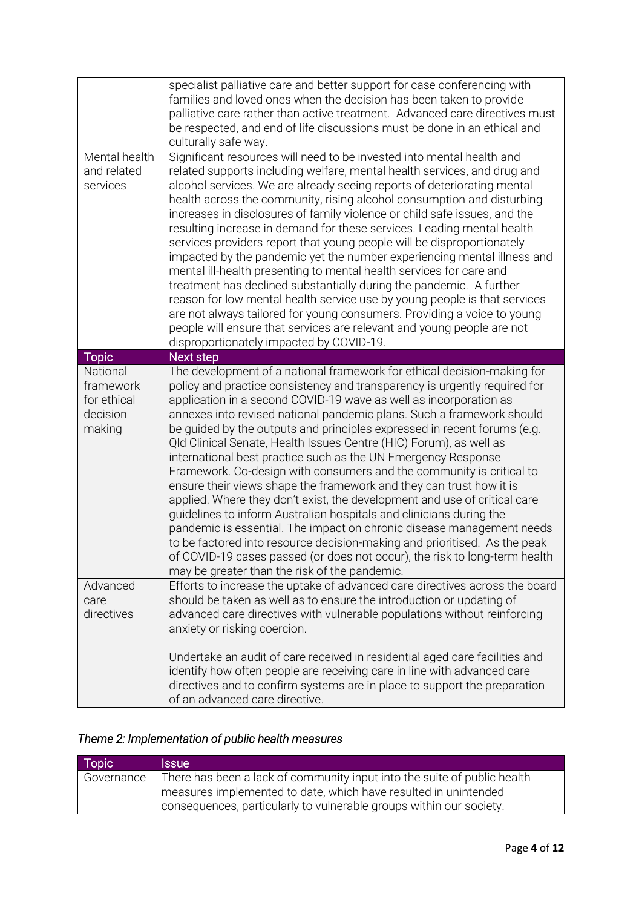|                                                            | specialist palliative care and better support for case conferencing with<br>families and loved ones when the decision has been taken to provide<br>palliative care rather than active treatment. Advanced care directives must<br>be respected, and end of life discussions must be done in an ethical and<br>culturally safe way.                                                                                                                                                                                                                                                                                                                                                                                                                                                                                                                                                                                                                                                                                                                                                                            |
|------------------------------------------------------------|---------------------------------------------------------------------------------------------------------------------------------------------------------------------------------------------------------------------------------------------------------------------------------------------------------------------------------------------------------------------------------------------------------------------------------------------------------------------------------------------------------------------------------------------------------------------------------------------------------------------------------------------------------------------------------------------------------------------------------------------------------------------------------------------------------------------------------------------------------------------------------------------------------------------------------------------------------------------------------------------------------------------------------------------------------------------------------------------------------------|
| Mental health<br>and related<br>services                   | Significant resources will need to be invested into mental health and<br>related supports including welfare, mental health services, and drug and<br>alcohol services. We are already seeing reports of deteriorating mental<br>health across the community, rising alcohol consumption and disturbing<br>increases in disclosures of family violence or child safe issues, and the<br>resulting increase in demand for these services. Leading mental health<br>services providers report that young people will be disproportionately<br>impacted by the pandemic yet the number experiencing mental illness and<br>mental ill-health presenting to mental health services for care and<br>treatment has declined substantially during the pandemic. A further<br>reason for low mental health service use by young people is that services<br>are not always tailored for young consumers. Providing a voice to young<br>people will ensure that services are relevant and young people are not<br>disproportionately impacted by COVID-19.                                                                |
| <b>Topic</b>                                               | Next step                                                                                                                                                                                                                                                                                                                                                                                                                                                                                                                                                                                                                                                                                                                                                                                                                                                                                                                                                                                                                                                                                                     |
| National<br>framework<br>for ethical<br>decision<br>making | The development of a national framework for ethical decision-making for<br>policy and practice consistency and transparency is urgently required for<br>application in a second COVID-19 wave as well as incorporation as<br>annexes into revised national pandemic plans. Such a framework should<br>be guided by the outputs and principles expressed in recent forums (e.g.<br>Qld Clinical Senate, Health Issues Centre (HIC) Forum), as well as<br>international best practice such as the UN Emergency Response<br>Framework. Co-design with consumers and the community is critical to<br>ensure their views shape the framework and they can trust how it is<br>applied. Where they don't exist, the development and use of critical care<br>guidelines to inform Australian hospitals and clinicians during the<br>pandemic is essential. The impact on chronic disease management needs<br>to be factored into resource decision-making and prioritised. As the peak<br>of COVID-19 cases passed (or does not occur), the risk to long-term health<br>may be greater than the risk of the pandemic. |
| Advanced<br>care<br>directives                             | Efforts to increase the uptake of advanced care directives across the board<br>should be taken as well as to ensure the introduction or updating of<br>advanced care directives with vulnerable populations without reinforcing<br>anxiety or risking coercion.<br>Undertake an audit of care received in residential aged care facilities and<br>identify how often people are receiving care in line with advanced care                                                                                                                                                                                                                                                                                                                                                                                                                                                                                                                                                                                                                                                                                     |
|                                                            | directives and to confirm systems are in place to support the preparation<br>of an advanced care directive.                                                                                                                                                                                                                                                                                                                                                                                                                                                                                                                                                                                                                                                                                                                                                                                                                                                                                                                                                                                                   |

# *Theme 2: Implementation of public health measures*

| Topic      | <i><b>Issue</b></i>                                                      |
|------------|--------------------------------------------------------------------------|
| Governance | There has been a lack of community input into the suite of public health |
|            | measures implemented to date, which have resulted in unintended          |
|            | consequences, particularly to vulnerable groups within our society.      |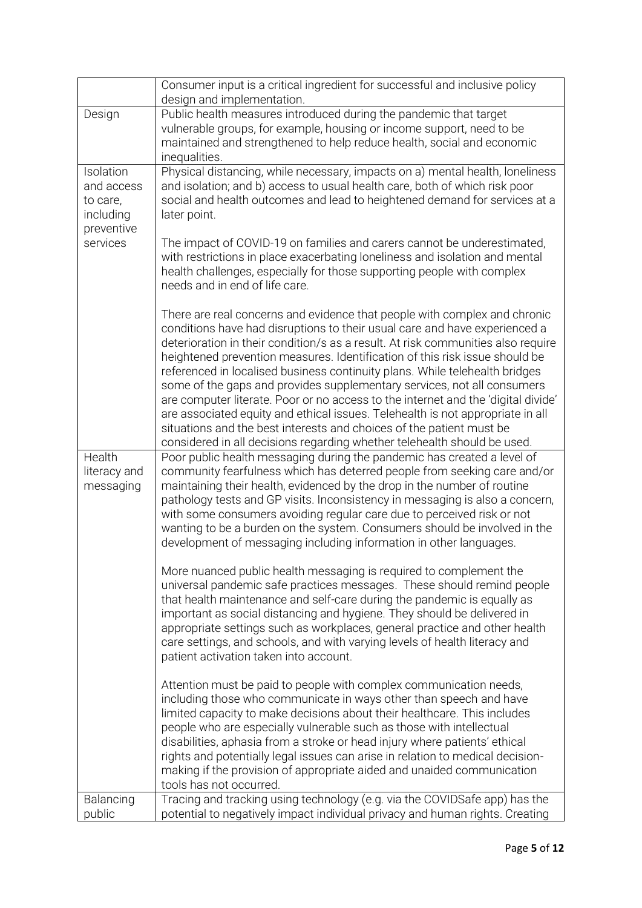|                                                                | Consumer input is a critical ingredient for successful and inclusive policy<br>design and implementation.                                                                                                                                                                                                                                                                                                                                                                                                                                                                                                                                                                                                                                                                                                       |
|----------------------------------------------------------------|-----------------------------------------------------------------------------------------------------------------------------------------------------------------------------------------------------------------------------------------------------------------------------------------------------------------------------------------------------------------------------------------------------------------------------------------------------------------------------------------------------------------------------------------------------------------------------------------------------------------------------------------------------------------------------------------------------------------------------------------------------------------------------------------------------------------|
| Design                                                         | Public health measures introduced during the pandemic that target<br>vulnerable groups, for example, housing or income support, need to be<br>maintained and strengthened to help reduce health, social and economic<br>inequalities.                                                                                                                                                                                                                                                                                                                                                                                                                                                                                                                                                                           |
| Isolation<br>and access<br>to care,<br>including<br>preventive | Physical distancing, while necessary, impacts on a) mental health, loneliness<br>and isolation; and b) access to usual health care, both of which risk poor<br>social and health outcomes and lead to heightened demand for services at a<br>later point.                                                                                                                                                                                                                                                                                                                                                                                                                                                                                                                                                       |
| services                                                       | The impact of COVID-19 on families and carers cannot be underestimated,<br>with restrictions in place exacerbating loneliness and isolation and mental<br>health challenges, especially for those supporting people with complex<br>needs and in end of life care.                                                                                                                                                                                                                                                                                                                                                                                                                                                                                                                                              |
|                                                                | There are real concerns and evidence that people with complex and chronic<br>conditions have had disruptions to their usual care and have experienced a<br>deterioration in their condition/s as a result. At risk communities also require<br>heightened prevention measures. Identification of this risk issue should be<br>referenced in localised business continuity plans. While telehealth bridges<br>some of the gaps and provides supplementary services, not all consumers<br>are computer literate. Poor or no access to the internet and the 'digital divide'<br>are associated equity and ethical issues. Telehealth is not appropriate in all<br>situations and the best interests and choices of the patient must be<br>considered in all decisions regarding whether telehealth should be used. |
| Health<br>literacy and<br>messaging                            | Poor public health messaging during the pandemic has created a level of<br>community fearfulness which has deterred people from seeking care and/or<br>maintaining their health, evidenced by the drop in the number of routine<br>pathology tests and GP visits. Inconsistency in messaging is also a concern,<br>with some consumers avoiding regular care due to perceived risk or not<br>wanting to be a burden on the system. Consumers should be involved in the<br>development of messaging including information in other languages.                                                                                                                                                                                                                                                                    |
|                                                                | More nuanced public health messaging is required to complement the<br>universal pandemic safe practices messages. These should remind people<br>that health maintenance and self-care during the pandemic is equally as<br>important as social distancing and hygiene. They should be delivered in<br>appropriate settings such as workplaces, general practice and other health<br>care settings, and schools, and with varying levels of health literacy and<br>patient activation taken into account.                                                                                                                                                                                                                                                                                                        |
|                                                                | Attention must be paid to people with complex communication needs,<br>including those who communicate in ways other than speech and have<br>limited capacity to make decisions about their healthcare. This includes<br>people who are especially vulnerable such as those with intellectual<br>disabilities, aphasia from a stroke or head injury where patients' ethical<br>rights and potentially legal issues can arise in relation to medical decision-<br>making if the provision of appropriate aided and unaided communication<br>tools has not occurred.                                                                                                                                                                                                                                               |
| Balancing<br>public                                            | Tracing and tracking using technology (e.g. via the COVIDSafe app) has the<br>potential to negatively impact individual privacy and human rights. Creating                                                                                                                                                                                                                                                                                                                                                                                                                                                                                                                                                                                                                                                      |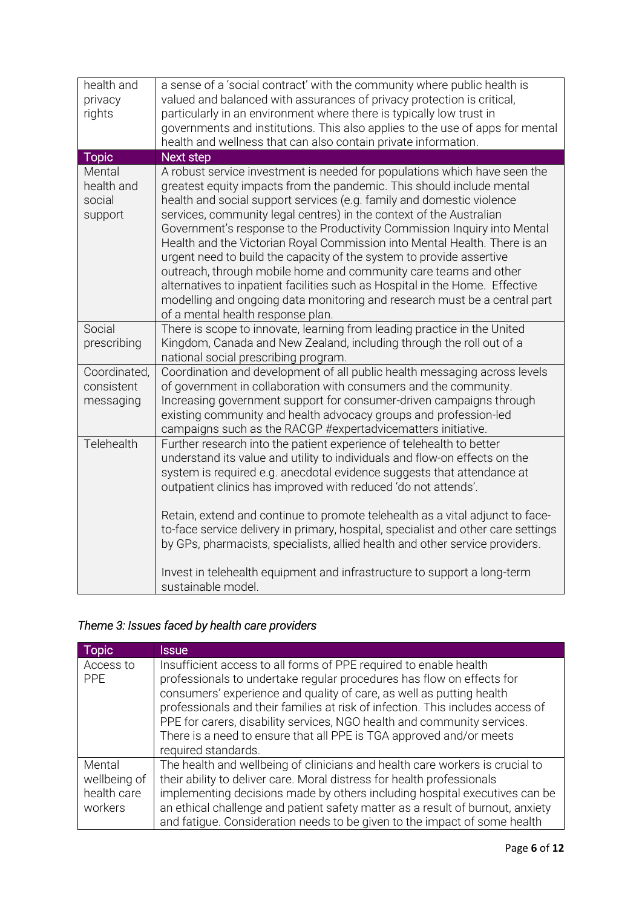| health and<br>privacy<br>rights           | a sense of a 'social contract' with the community where public health is<br>valued and balanced with assurances of privacy protection is critical,<br>particularly in an environment where there is typically low trust in<br>governments and institutions. This also applies to the use of apps for mental<br>health and wellness that can also contain private information.                                                                                                                                                                                                                                                                                                                                                                                                                             |
|-------------------------------------------|-----------------------------------------------------------------------------------------------------------------------------------------------------------------------------------------------------------------------------------------------------------------------------------------------------------------------------------------------------------------------------------------------------------------------------------------------------------------------------------------------------------------------------------------------------------------------------------------------------------------------------------------------------------------------------------------------------------------------------------------------------------------------------------------------------------|
| <b>Topic</b>                              | <b>Next step</b>                                                                                                                                                                                                                                                                                                                                                                                                                                                                                                                                                                                                                                                                                                                                                                                          |
| Mental<br>health and<br>social<br>support | A robust service investment is needed for populations which have seen the<br>greatest equity impacts from the pandemic. This should include mental<br>health and social support services (e.g. family and domestic violence<br>services, community legal centres) in the context of the Australian<br>Government's response to the Productivity Commission Inquiry into Mental<br>Health and the Victorian Royal Commission into Mental Health. There is an<br>urgent need to build the capacity of the system to provide assertive<br>outreach, through mobile home and community care teams and other<br>alternatives to inpatient facilities such as Hospital in the Home. Effective<br>modelling and ongoing data monitoring and research must be a central part<br>of a mental health response plan. |
| Social<br>prescribing                     | There is scope to innovate, learning from leading practice in the United<br>Kingdom, Canada and New Zealand, including through the roll out of a<br>national social prescribing program.                                                                                                                                                                                                                                                                                                                                                                                                                                                                                                                                                                                                                  |
| Coordinated,<br>consistent<br>messaging   | Coordination and development of all public health messaging across levels<br>of government in collaboration with consumers and the community.<br>Increasing government support for consumer-driven campaigns through<br>existing community and health advocacy groups and profession-led<br>campaigns such as the RACGP #expertadvicematters initiative.                                                                                                                                                                                                                                                                                                                                                                                                                                                  |
| Telehealth                                | Further research into the patient experience of telehealth to better<br>understand its value and utility to individuals and flow-on effects on the<br>system is required e.g. anecdotal evidence suggests that attendance at<br>outpatient clinics has improved with reduced 'do not attends'.<br>Retain, extend and continue to promote telehealth as a vital adjunct to face-<br>to-face service delivery in primary, hospital, specialist and other care settings<br>by GPs, pharmacists, specialists, allied health and other service providers.<br>Invest in telehealth equipment and infrastructure to support a long-term                                                                                                                                                                          |
|                                           | sustainable model.                                                                                                                                                                                                                                                                                                                                                                                                                                                                                                                                                                                                                                                                                                                                                                                        |

# *Theme 3: Issues faced by health care providers*

| Topic                                            | <b>Issue</b>                                                                                                                                                                                                                                                                                                                                                                                                                                                                  |
|--------------------------------------------------|-------------------------------------------------------------------------------------------------------------------------------------------------------------------------------------------------------------------------------------------------------------------------------------------------------------------------------------------------------------------------------------------------------------------------------------------------------------------------------|
| Access to<br><b>PPE</b>                          | Insufficient access to all forms of PPE required to enable health<br>professionals to undertake regular procedures has flow on effects for<br>consumers' experience and quality of care, as well as putting health<br>professionals and their families at risk of infection. This includes access of<br>PPE for carers, disability services, NGO health and community services.<br>There is a need to ensure that all PPE is TGA approved and/or meets<br>required standards. |
| Mental<br>wellbeing of<br>health care<br>workers | The health and wellbeing of clinicians and health care workers is crucial to<br>their ability to deliver care. Moral distress for health professionals<br>implementing decisions made by others including hospital executives can be<br>an ethical challenge and patient safety matter as a result of burnout, anxiety<br>and fatigue. Consideration needs to be given to the impact of some health                                                                           |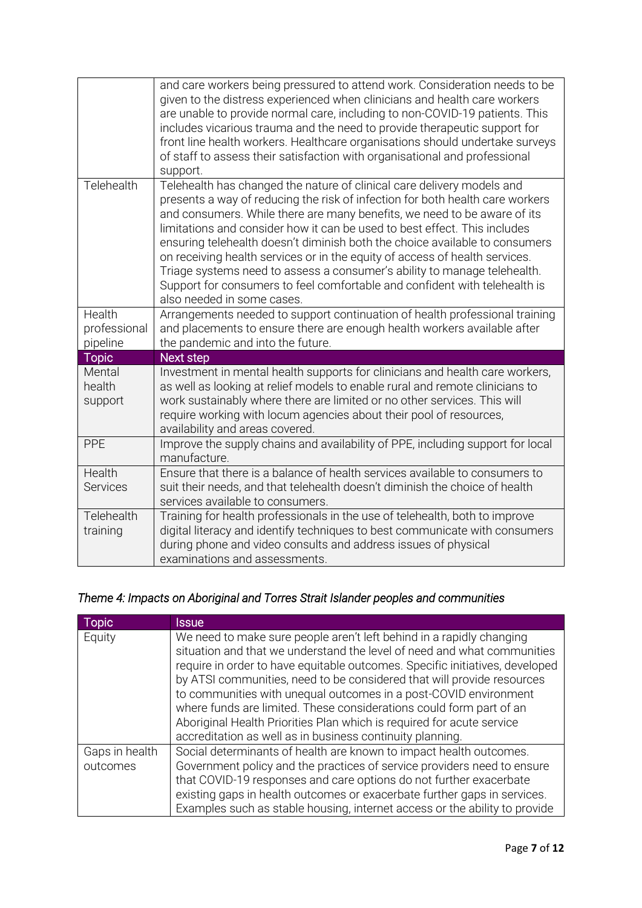|                                    | and care workers being pressured to attend work. Consideration needs to be<br>given to the distress experienced when clinicians and health care workers<br>are unable to provide normal care, including to non-COVID-19 patients. This<br>includes vicarious trauma and the need to provide therapeutic support for<br>front line health workers. Healthcare organisations should undertake surveys<br>of staff to assess their satisfaction with organisational and professional<br>support.                                                                                                                                                                          |
|------------------------------------|------------------------------------------------------------------------------------------------------------------------------------------------------------------------------------------------------------------------------------------------------------------------------------------------------------------------------------------------------------------------------------------------------------------------------------------------------------------------------------------------------------------------------------------------------------------------------------------------------------------------------------------------------------------------|
| Telehealth                         | Telehealth has changed the nature of clinical care delivery models and<br>presents a way of reducing the risk of infection for both health care workers<br>and consumers. While there are many benefits, we need to be aware of its<br>limitations and consider how it can be used to best effect. This includes<br>ensuring telehealth doesn't diminish both the choice available to consumers<br>on receiving health services or in the equity of access of health services.<br>Triage systems need to assess a consumer's ability to manage telehealth.<br>Support for consumers to feel comfortable and confident with telehealth is<br>also needed in some cases. |
| Health<br>professional<br>pipeline | Arrangements needed to support continuation of health professional training<br>and placements to ensure there are enough health workers available after<br>the pandemic and into the future.                                                                                                                                                                                                                                                                                                                                                                                                                                                                           |
| Topic                              | <b>Next step</b>                                                                                                                                                                                                                                                                                                                                                                                                                                                                                                                                                                                                                                                       |
| Mental<br>health<br>support        | Investment in mental health supports for clinicians and health care workers,<br>as well as looking at relief models to enable rural and remote clinicians to<br>work sustainably where there are limited or no other services. This will<br>require working with locum agencies about their pool of resources,<br>availability and areas covered.                                                                                                                                                                                                                                                                                                                      |
| PPE                                | Improve the supply chains and availability of PPE, including support for local<br>manufacture.                                                                                                                                                                                                                                                                                                                                                                                                                                                                                                                                                                         |
| Health<br><b>Services</b>          | Ensure that there is a balance of health services available to consumers to<br>suit their needs, and that telehealth doesn't diminish the choice of health<br>services available to consumers.                                                                                                                                                                                                                                                                                                                                                                                                                                                                         |
| Telehealth<br>training             | Training for health professionals in the use of telehealth, both to improve<br>digital literacy and identify techniques to best communicate with consumers<br>during phone and video consults and address issues of physical<br>examinations and assessments.                                                                                                                                                                                                                                                                                                                                                                                                          |

# *Theme 4: Impacts on Aboriginal and Torres Strait Islander peoples and communities*

| Topic          | <b>Issue</b>                                                                                                                                                                                                                    |
|----------------|---------------------------------------------------------------------------------------------------------------------------------------------------------------------------------------------------------------------------------|
| Equity         | We need to make sure people aren't left behind in a rapidly changing<br>situation and that we understand the level of need and what communities<br>require in order to have equitable outcomes. Specific initiatives, developed |
|                | by ATSI communities, need to be considered that will provide resources<br>to communities with unequal outcomes in a post-COVID environment                                                                                      |
|                | where funds are limited. These considerations could form part of an                                                                                                                                                             |
|                | Aboriginal Health Priorities Plan which is required for acute service                                                                                                                                                           |
|                | accreditation as well as in business continuity planning.                                                                                                                                                                       |
| Gaps in health | Social determinants of health are known to impact health outcomes.                                                                                                                                                              |
| outcomes       | Government policy and the practices of service providers need to ensure                                                                                                                                                         |
|                | that COVID-19 responses and care options do not further exacerbate                                                                                                                                                              |
|                | existing gaps in health outcomes or exacerbate further gaps in services.                                                                                                                                                        |
|                | Examples such as stable housing, internet access or the ability to provide                                                                                                                                                      |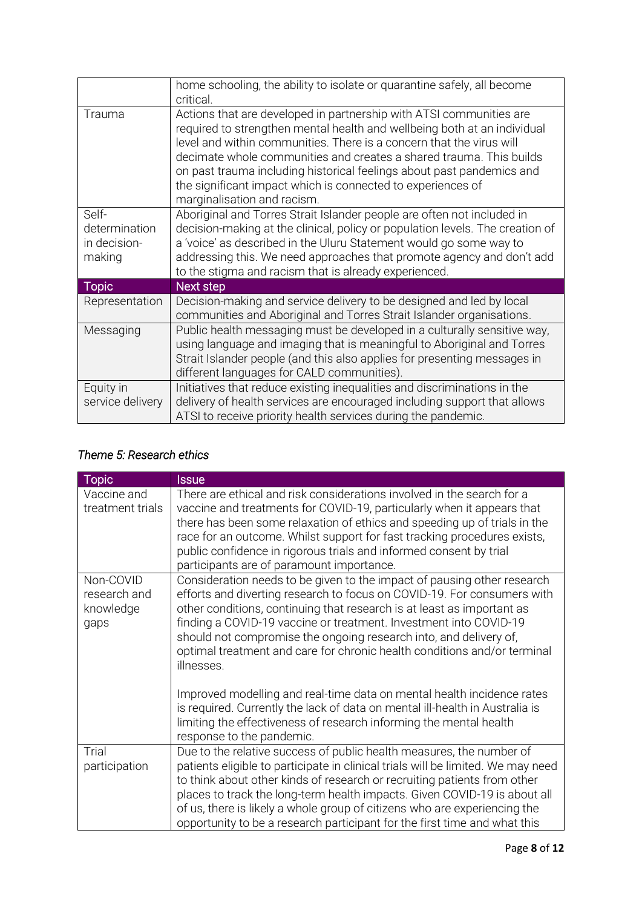|                                                  | home schooling, the ability to isolate or quarantine safely, all become<br>critical.                                                                                                                                                                                                                                                                                                                                                                                  |
|--------------------------------------------------|-----------------------------------------------------------------------------------------------------------------------------------------------------------------------------------------------------------------------------------------------------------------------------------------------------------------------------------------------------------------------------------------------------------------------------------------------------------------------|
| Trauma                                           | Actions that are developed in partnership with ATSI communities are<br>required to strengthen mental health and wellbeing both at an individual<br>level and within communities. There is a concern that the virus will<br>decimate whole communities and creates a shared trauma. This builds<br>on past trauma including historical feelings about past pandemics and<br>the significant impact which is connected to experiences of<br>marginalisation and racism. |
| Self-<br>determination<br>in decision-<br>making | Aboriginal and Torres Strait Islander people are often not included in<br>decision-making at the clinical, policy or population levels. The creation of<br>a 'voice' as described in the Uluru Statement would go some way to<br>addressing this. We need approaches that promote agency and don't add<br>to the stigma and racism that is already experienced.                                                                                                       |
| <b>Topic</b>                                     | Next step                                                                                                                                                                                                                                                                                                                                                                                                                                                             |
| Representation                                   | Decision-making and service delivery to be designed and led by local<br>communities and Aboriginal and Torres Strait Islander organisations.                                                                                                                                                                                                                                                                                                                          |
| Messaging                                        | Public health messaging must be developed in a culturally sensitive way,<br>using language and imaging that is meaningful to Aboriginal and Torres<br>Strait Islander people (and this also applies for presenting messages in<br>different languages for CALD communities).                                                                                                                                                                                          |
| Equity in<br>service delivery                    | Initiatives that reduce existing inequalities and discriminations in the<br>delivery of health services are encouraged including support that allows<br>ATSI to receive priority health services during the pandemic.                                                                                                                                                                                                                                                 |

# *Theme 5: Research ethics*

| <b>Topic</b>                                   | <b>Issue</b>                                                                                                                                                                                                                                                                                                                                                                                                                                                                |
|------------------------------------------------|-----------------------------------------------------------------------------------------------------------------------------------------------------------------------------------------------------------------------------------------------------------------------------------------------------------------------------------------------------------------------------------------------------------------------------------------------------------------------------|
| Vaccine and<br>treatment trials                | There are ethical and risk considerations involved in the search for a<br>vaccine and treatments for COVID-19, particularly when it appears that<br>there has been some relaxation of ethics and speeding up of trials in the<br>race for an outcome. Whilst support for fast tracking procedures exists,<br>public confidence in rigorous trials and informed consent by trial<br>participants are of paramount importance.                                                |
| Non-COVID<br>research and<br>knowledge<br>gaps | Consideration needs to be given to the impact of pausing other research<br>efforts and diverting research to focus on COVID-19. For consumers with<br>other conditions, continuing that research is at least as important as<br>finding a COVID-19 vaccine or treatment. Investment into COVID-19<br>should not compromise the ongoing research into, and delivery of,<br>optimal treatment and care for chronic health conditions and/or terminal<br>illnesses.            |
|                                                | Improved modelling and real-time data on mental health incidence rates<br>is required. Currently the lack of data on mental ill-health in Australia is<br>limiting the effectiveness of research informing the mental health<br>response to the pandemic.                                                                                                                                                                                                                   |
| Trial<br>participation                         | Due to the relative success of public health measures, the number of<br>patients eligible to participate in clinical trials will be limited. We may need<br>to think about other kinds of research or recruiting patients from other<br>places to track the long-term health impacts. Given COVID-19 is about all<br>of us, there is likely a whole group of citizens who are experiencing the<br>opportunity to be a research participant for the first time and what this |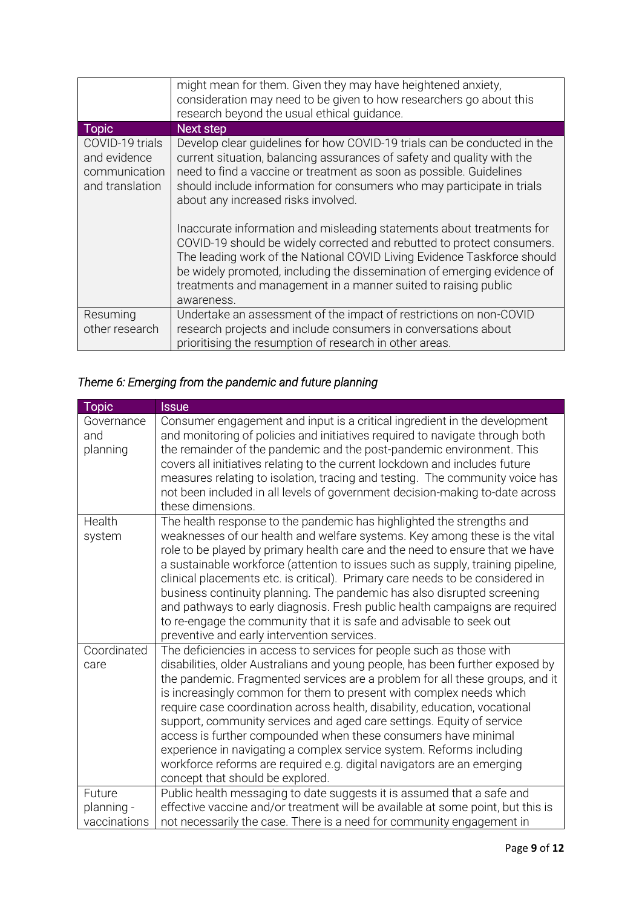|                                                                     | might mean for them. Given they may have heightened anxiety,<br>consideration may need to be given to how researchers go about this<br>research beyond the usual ethical quidance.                                                                                                                                                                                                                                                                                                                                                                                                                                                                                                                                                  |
|---------------------------------------------------------------------|-------------------------------------------------------------------------------------------------------------------------------------------------------------------------------------------------------------------------------------------------------------------------------------------------------------------------------------------------------------------------------------------------------------------------------------------------------------------------------------------------------------------------------------------------------------------------------------------------------------------------------------------------------------------------------------------------------------------------------------|
| <b>Topic</b>                                                        | Next step                                                                                                                                                                                                                                                                                                                                                                                                                                                                                                                                                                                                                                                                                                                           |
| COVID-19 trials<br>and evidence<br>communication<br>and translation | Develop clear guidelines for how COVID-19 trials can be conducted in the<br>current situation, balancing assurances of safety and quality with the<br>need to find a vaccine or treatment as soon as possible. Guidelines<br>should include information for consumers who may participate in trials<br>about any increased risks involved.<br>Inaccurate information and misleading statements about treatments for<br>COVID-19 should be widely corrected and rebutted to protect consumers.<br>The leading work of the National COVID Living Evidence Taskforce should<br>be widely promoted, including the dissemination of emerging evidence of<br>treatments and management in a manner suited to raising public<br>awareness. |
| Resuming<br>other research                                          | Undertake an assessment of the impact of restrictions on non-COVID<br>research projects and include consumers in conversations about<br>prioritising the resumption of research in other areas.                                                                                                                                                                                                                                                                                                                                                                                                                                                                                                                                     |

# *Theme 6: Emerging from the pandemic and future planning*

| Topic                                | <b>Issue</b>                                                                                                                                                                                                                                                                                                                                                                                                                                                                                                                                                                                                                                                                                                                |
|--------------------------------------|-----------------------------------------------------------------------------------------------------------------------------------------------------------------------------------------------------------------------------------------------------------------------------------------------------------------------------------------------------------------------------------------------------------------------------------------------------------------------------------------------------------------------------------------------------------------------------------------------------------------------------------------------------------------------------------------------------------------------------|
| Governance<br>and<br>planning        | Consumer engagement and input is a critical ingredient in the development<br>and monitoring of policies and initiatives required to navigate through both<br>the remainder of the pandemic and the post-pandemic environment. This<br>covers all initiatives relating to the current lockdown and includes future<br>measures relating to isolation, tracing and testing. The community voice has<br>not been included in all levels of government decision-making to-date across<br>these dimensions.                                                                                                                                                                                                                      |
| Health<br>system                     | The health response to the pandemic has highlighted the strengths and<br>weaknesses of our health and welfare systems. Key among these is the vital<br>role to be played by primary health care and the need to ensure that we have<br>a sustainable workforce (attention to issues such as supply, training pipeline,<br>clinical placements etc. is critical). Primary care needs to be considered in<br>business continuity planning. The pandemic has also disrupted screening<br>and pathways to early diagnosis. Fresh public health campaigns are required<br>to re-engage the community that it is safe and advisable to seek out<br>preventive and early intervention services.                                    |
| Coordinated<br>care                  | The deficiencies in access to services for people such as those with<br>disabilities, older Australians and young people, has been further exposed by<br>the pandemic. Fragmented services are a problem for all these groups, and it<br>is increasingly common for them to present with complex needs which<br>require case coordination across health, disability, education, vocational<br>support, community services and aged care settings. Equity of service<br>access is further compounded when these consumers have minimal<br>experience in navigating a complex service system. Reforms including<br>workforce reforms are required e.g. digital navigators are an emerging<br>concept that should be explored. |
| Future<br>planning -<br>vaccinations | Public health messaging to date suggests it is assumed that a safe and<br>effective vaccine and/or treatment will be available at some point, but this is<br>not necessarily the case. There is a need for community engagement in                                                                                                                                                                                                                                                                                                                                                                                                                                                                                          |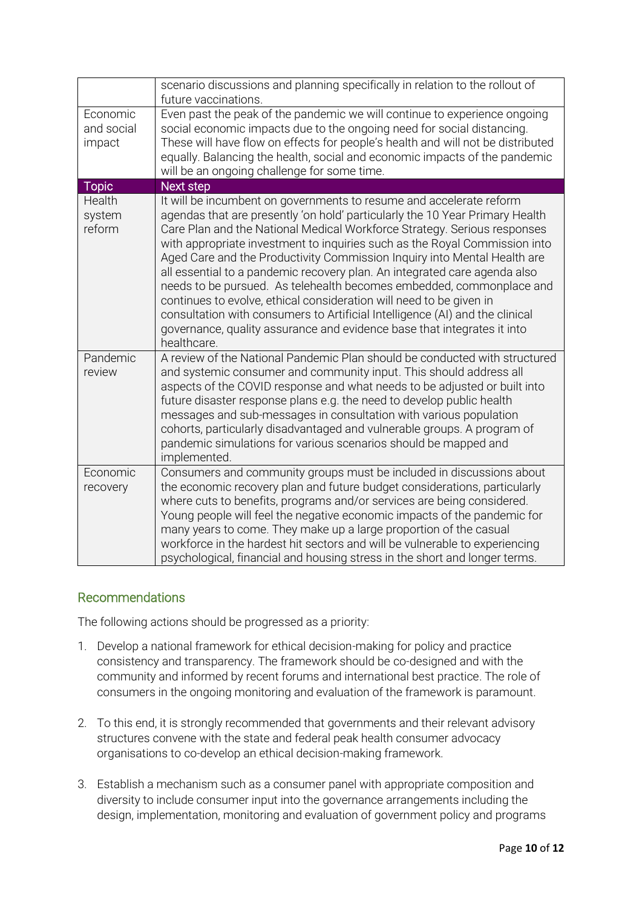|                                  | scenario discussions and planning specifically in relation to the rollout of<br>future vaccinations.                                                                                                                                                                                                                                                                                                                                                                                                                                                                                                                                                                                                                                                                                            |
|----------------------------------|-------------------------------------------------------------------------------------------------------------------------------------------------------------------------------------------------------------------------------------------------------------------------------------------------------------------------------------------------------------------------------------------------------------------------------------------------------------------------------------------------------------------------------------------------------------------------------------------------------------------------------------------------------------------------------------------------------------------------------------------------------------------------------------------------|
| Economic<br>and social<br>impact | Even past the peak of the pandemic we will continue to experience ongoing<br>social economic impacts due to the ongoing need for social distancing.<br>These will have flow on effects for people's health and will not be distributed<br>equally. Balancing the health, social and economic impacts of the pandemic<br>will be an ongoing challenge for some time.                                                                                                                                                                                                                                                                                                                                                                                                                             |
| <b>Topic</b>                     | <b>Next step</b>                                                                                                                                                                                                                                                                                                                                                                                                                                                                                                                                                                                                                                                                                                                                                                                |
| Health<br>system<br>reform       | It will be incumbent on governments to resume and accelerate reform<br>agendas that are presently 'on hold' particularly the 10 Year Primary Health<br>Care Plan and the National Medical Workforce Strategy. Serious responses<br>with appropriate investment to inquiries such as the Royal Commission into<br>Aged Care and the Productivity Commission Inquiry into Mental Health are<br>all essential to a pandemic recovery plan. An integrated care agenda also<br>needs to be pursued. As telehealth becomes embedded, commonplace and<br>continues to evolve, ethical consideration will need to be given in<br>consultation with consumers to Artificial Intelligence (AI) and the clinical<br>governance, quality assurance and evidence base that integrates it into<br>healthcare. |
| Pandemic<br>review               | A review of the National Pandemic Plan should be conducted with structured<br>and systemic consumer and community input. This should address all<br>aspects of the COVID response and what needs to be adjusted or built into<br>future disaster response plans e.g. the need to develop public health<br>messages and sub-messages in consultation with various population<br>cohorts, particularly disadvantaged and vulnerable groups. A program of<br>pandemic simulations for various scenarios should be mapped and<br>implemented.                                                                                                                                                                                                                                                       |
| Economic<br>recovery             | Consumers and community groups must be included in discussions about<br>the economic recovery plan and future budget considerations, particularly<br>where cuts to benefits, programs and/or services are being considered.<br>Young people will feel the negative economic impacts of the pandemic for<br>many years to come. They make up a large proportion of the casual<br>workforce in the hardest hit sectors and will be vulnerable to experiencing<br>psychological, financial and housing stress in the short and longer terms.                                                                                                                                                                                                                                                       |

## Recommendations

The following actions should be progressed as a priority:

- 1. Develop a national framework for ethical decision-making for policy and practice consistency and transparency. The framework should be co-designed and with the community and informed by recent forums and international best practice. The role of consumers in the ongoing monitoring and evaluation of the framework is paramount.
- 2. To this end, it is strongly recommended that governments and their relevant advisory structures convene with the state and federal peak health consumer advocacy organisations to co-develop an ethical decision-making framework.
- 3. Establish a mechanism such as a consumer panel with appropriate composition and diversity to include consumer input into the governance arrangements including the design, implementation, monitoring and evaluation of government policy and programs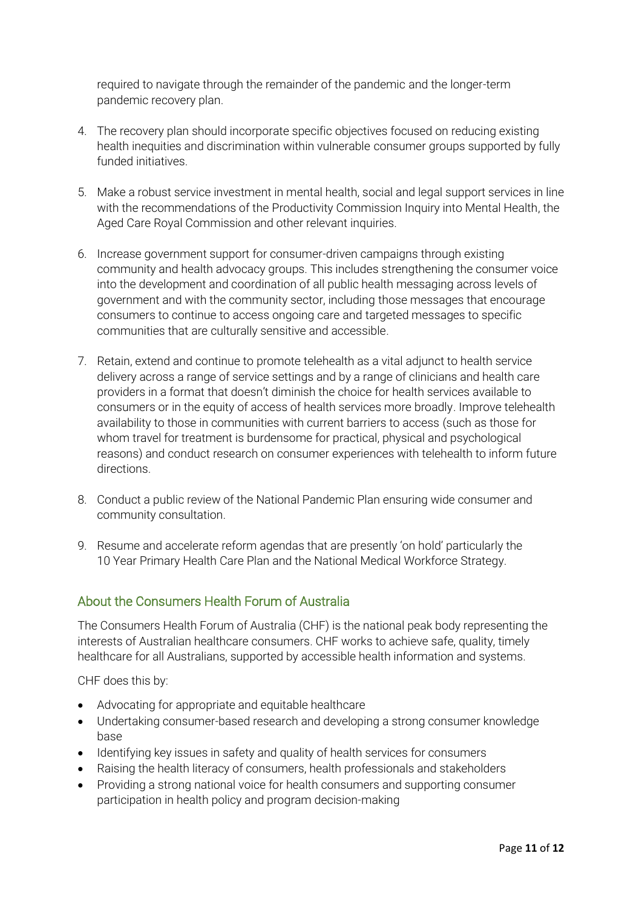required to navigate through the remainder of the pandemic and the longer-term pandemic recovery plan.

- 4. The recovery plan should incorporate specific objectives focused on reducing existing health inequities and discrimination within vulnerable consumer groups supported by fully funded initiatives.
- 5. Make a robust service investment in mental health, social and legal support services in line with the recommendations of the Productivity Commission Inquiry into Mental Health, the Aged Care Royal Commission and other relevant inquiries.
- 6. Increase government support for consumer-driven campaigns through existing community and health advocacy groups. This includes strengthening the consumer voice into the development and coordination of all public health messaging across levels of government and with the community sector, including those messages that encourage consumers to continue to access ongoing care and targeted messages to specific communities that are culturally sensitive and accessible.
- 7. Retain, extend and continue to promote telehealth as a vital adjunct to health service delivery across a range of service settings and by a range of clinicians and health care providers in a format that doesn't diminish the choice for health services available to consumers or in the equity of access of health services more broadly. Improve telehealth availability to those in communities with current barriers to access (such as those for whom travel for treatment is burdensome for practical, physical and psychological reasons) and conduct research on consumer experiences with telehealth to inform future directions.
- 8. Conduct a public review of the National Pandemic Plan ensuring wide consumer and community consultation.
- 9. Resume and accelerate reform agendas that are presently 'on hold' particularly the 10 Year Primary Health Care Plan and the National Medical Workforce Strategy.

## About the Consumers Health Forum of Australia

The Consumers Health Forum of Australia (CHF) is the national peak body representing the interests of Australian healthcare consumers. CHF works to achieve safe, quality, timely healthcare for all Australians, supported by accessible health information and systems.

CHF does this by:

- Advocating for appropriate and equitable healthcare
- Undertaking consumer-based research and developing a strong consumer knowledge base
- Identifying key issues in safety and quality of health services for consumers
- Raising the health literacy of consumers, health professionals and stakeholders
- Providing a strong national voice for health consumers and supporting consumer participation in health policy and program decision-making